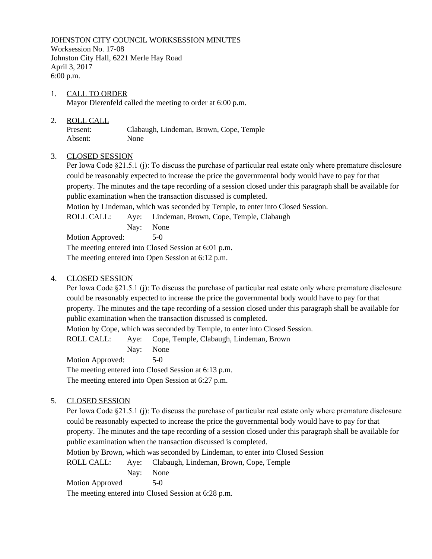JOHNSTON CITY COUNCIL WORKSESSION MINUTES Worksession No. 17-08 Johnston City Hall, 6221 Merle Hay Road April 3, 2017 6:00 p.m.

1. CALL TO ORDER Mayor Dierenfeld called the meeting to order at 6:00 p.m.

# 2. ROLL CALL

Present: Clabaugh, Lindeman, Brown, Cope, Temple Absent: None

# 3. CLOSED SESSION

Per Iowa Code §21.5.1 (j): To discuss the purchase of particular real estate only where premature disclosure could be reasonably expected to increase the price the governmental body would have to pay for that property. The minutes and the tape recording of a session closed under this paragraph shall be available for public examination when the transaction discussed is completed.

Motion by Lindeman, which was seconded by Temple, to enter into Closed Session.

ROLL CALL: Aye: Lindeman, Brown, Cope, Temple, Clabaugh

Nay: None

Motion Approved: 5-0 The meeting entered into Closed Session at 6:01 p.m. The meeting entered into Open Session at 6:12 p.m.

# 4. CLOSED SESSION

Per Iowa Code §21.5.1 (j): To discuss the purchase of particular real estate only where premature disclosure could be reasonably expected to increase the price the governmental body would have to pay for that property. The minutes and the tape recording of a session closed under this paragraph shall be available for public examination when the transaction discussed is completed.

Motion by Cope, which was seconded by Temple, to enter into Closed Session.

ROLL CALL: Aye: Cope, Temple, Clabaugh, Lindeman, Brown

Nay: None

Motion Approved: 5-0

The meeting entered into Closed Session at 6:13 p.m. The meeting entered into Open Session at 6:27 p.m.

# 5. CLOSED SESSION

Per Iowa Code §21.5.1 (j): To discuss the purchase of particular real estate only where premature disclosure could be reasonably expected to increase the price the governmental body would have to pay for that property. The minutes and the tape recording of a session closed under this paragraph shall be available for public examination when the transaction discussed is completed.

Motion by Brown, which was seconded by Lindeman, to enter into Closed Session

ROLL CALL: Aye: Clabaugh, Lindeman, Brown, Cope, Temple

Nay: None

Motion Approved 5-0 The meeting entered into Closed Session at 6:28 p.m.